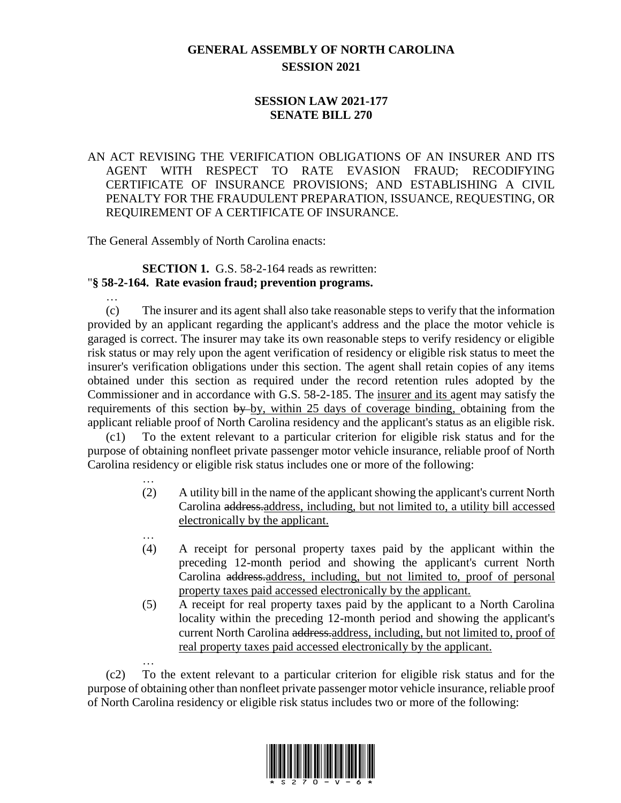# **GENERAL ASSEMBLY OF NORTH CAROLINA SESSION 2021**

## **SESSION LAW 2021-177 SENATE BILL 270**

### AN ACT REVISING THE VERIFICATION OBLIGATIONS OF AN INSURER AND ITS AGENT WITH RESPECT TO RATE EVASION FRAUD; RECODIFYING CERTIFICATE OF INSURANCE PROVISIONS; AND ESTABLISHING A CIVIL PENALTY FOR THE FRAUDULENT PREPARATION, ISSUANCE, REQUESTING, OR REQUIREMENT OF A CERTIFICATE OF INSURANCE.

The General Assembly of North Carolina enacts:

…

…

#### **SECTION 1.** G.S. 58-2-164 reads as rewritten: "**§ 58-2-164. Rate evasion fraud; prevention programs.**

(c) The insurer and its agent shall also take reasonable steps to verify that the information provided by an applicant regarding the applicant's address and the place the motor vehicle is garaged is correct. The insurer may take its own reasonable steps to verify residency or eligible risk status or may rely upon the agent verification of residency or eligible risk status to meet the insurer's verification obligations under this section. The agent shall retain copies of any items obtained under this section as required under the record retention rules adopted by the Commissioner and in accordance with G.S. 58-2-185. The insurer and its agent may satisfy the requirements of this section by by, within 25 days of coverage binding, obtaining from the applicant reliable proof of North Carolina residency and the applicant's status as an eligible risk.

(c1) To the extent relevant to a particular criterion for eligible risk status and for the purpose of obtaining nonfleet private passenger motor vehicle insurance, reliable proof of North Carolina residency or eligible risk status includes one or more of the following:

- … (2) A utility bill in the name of the applicant showing the applicant's current North Carolina address.address, including, but not limited to, a utility bill accessed electronically by the applicant.
- (4) A receipt for personal property taxes paid by the applicant within the preceding 12-month period and showing the applicant's current North Carolina address.address, including, but not limited to, proof of personal property taxes paid accessed electronically by the applicant.
- (5) A receipt for real property taxes paid by the applicant to a North Carolina locality within the preceding 12-month period and showing the applicant's current North Carolina address.address, including, but not limited to, proof of real property taxes paid accessed electronically by the applicant.

… (c2) To the extent relevant to a particular criterion for eligible risk status and for the purpose of obtaining other than nonfleet private passenger motor vehicle insurance, reliable proof of North Carolina residency or eligible risk status includes two or more of the following:

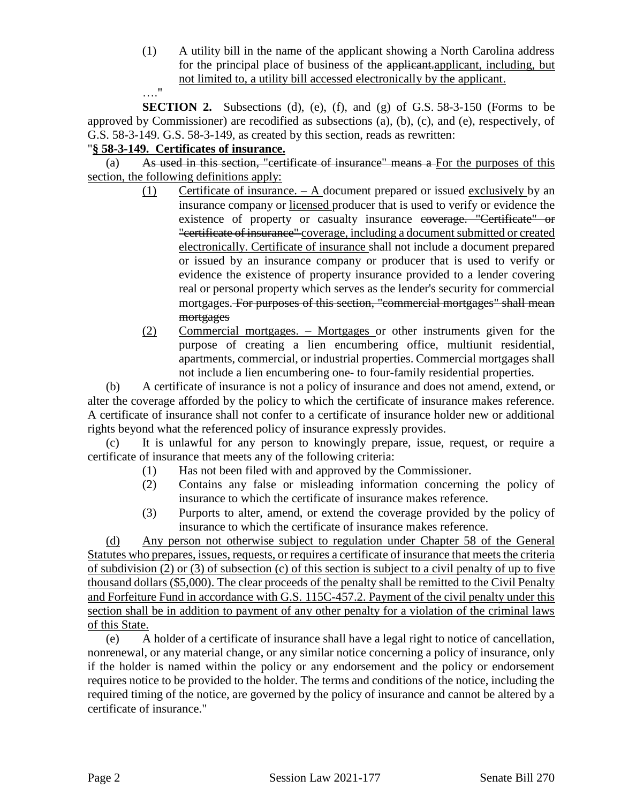(1) A utility bill in the name of the applicant showing a North Carolina address for the principal place of business of the applicant.applicant, including, but not limited to, a utility bill accessed electronically by the applicant. …."

**SECTION 2.** Subsections (d), (e), (f), and (g) of G.S.  $58-3-150$  (Forms to be approved by Commissioner) are recodified as subsections (a), (b), (c), and (e), respectively, of G.S. 58-3-149. G.S. 58-3-149, as created by this section, reads as rewritten:

## "**§ 58-3-149. Certificates of insurance.**

(a) As used in this section, "certificate of insurance" means a For the purposes of this section, the following definitions apply:

- (1) Certificate of insurance. A document prepared or issued exclusively by an insurance company or licensed producer that is used to verify or evidence the existence of property or casualty insurance coverage. "Certificate" or "certificate of insurance" coverage, including a document submitted or created electronically. Certificate of insurance shall not include a document prepared or issued by an insurance company or producer that is used to verify or evidence the existence of property insurance provided to a lender covering real or personal property which serves as the lender's security for commercial mortgages. For purposes of this section, "commercial mortgages" shall mean mortgages
- (2) Commercial mortgages. Mortgages or other instruments given for the purpose of creating a lien encumbering office, multiunit residential, apartments, commercial, or industrial properties. Commercial mortgages shall not include a lien encumbering one- to four-family residential properties.

(b) A certificate of insurance is not a policy of insurance and does not amend, extend, or alter the coverage afforded by the policy to which the certificate of insurance makes reference. A certificate of insurance shall not confer to a certificate of insurance holder new or additional rights beyond what the referenced policy of insurance expressly provides.

(c) It is unlawful for any person to knowingly prepare, issue, request, or require a certificate of insurance that meets any of the following criteria:

- (1) Has not been filed with and approved by the Commissioner.
- (2) Contains any false or misleading information concerning the policy of insurance to which the certificate of insurance makes reference.
- (3) Purports to alter, amend, or extend the coverage provided by the policy of insurance to which the certificate of insurance makes reference.

(d) Any person not otherwise subject to regulation under Chapter 58 of the General Statutes who prepares, issues, requests, or requires a certificate of insurance that meets the criteria of subdivision (2) or (3) of subsection (c) of this section is subject to a civil penalty of up to five thousand dollars (\$5,000). The clear proceeds of the penalty shall be remitted to the Civil Penalty and Forfeiture Fund in accordance with G.S. 115C-457.2. Payment of the civil penalty under this section shall be in addition to payment of any other penalty for a violation of the criminal laws of this State.

(e) A holder of a certificate of insurance shall have a legal right to notice of cancellation, nonrenewal, or any material change, or any similar notice concerning a policy of insurance, only if the holder is named within the policy or any endorsement and the policy or endorsement requires notice to be provided to the holder. The terms and conditions of the notice, including the required timing of the notice, are governed by the policy of insurance and cannot be altered by a certificate of insurance."